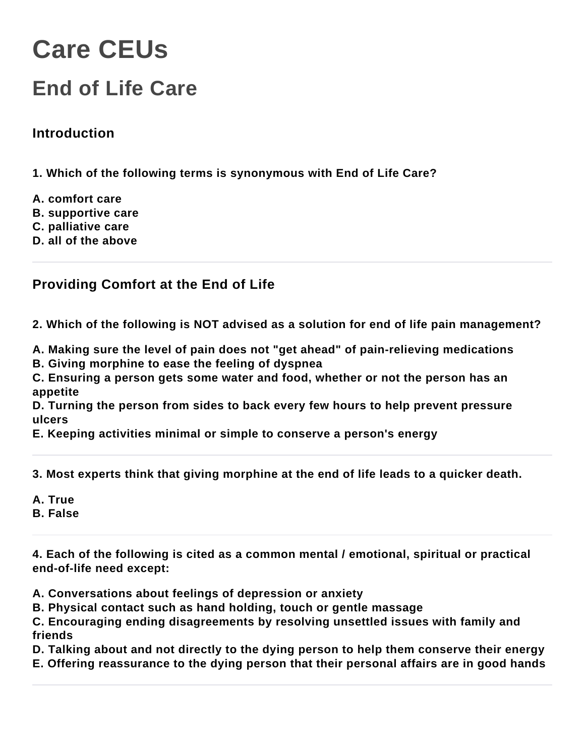# **Care CEUs**

## **End of Life Care**

#### **Introduction**

**1. Which of the following terms is synonymous with End of Life Care?**

- **A. comfort care**
- **B. supportive care**
- **C. palliative care**
- **D. all of the above**

#### **Providing Comfort at the End of Life**

**2. Which of the following is NOT advised as a solution for end of life pain management?**

**A. Making sure the level of pain does not "get ahead" of pain-relieving medications**

**B. Giving morphine to ease the feeling of dyspnea**

**C. Ensuring a person gets some water and food, whether or not the person has an appetite**

**D. Turning the person from sides to back every few hours to help prevent pressure ulcers**

**E. Keeping activities minimal or simple to conserve a person's energy**

**3. Most experts think that giving morphine at the end of life leads to a quicker death.**

- **A. True**
- **B. False**

**4. Each of the following is cited as a common mental / emotional, spiritual or practical end-of-life need except:**

- **A. Conversations about feelings of depression or anxiety**
- **B. Physical contact such as hand holding, touch or gentle massage**

**C. Encouraging ending disagreements by resolving unsettled issues with family and friends**

**D. Talking about and not directly to the dying person to help them conserve their energy**

**E. Offering reassurance to the dying person that their personal affairs are in good hands**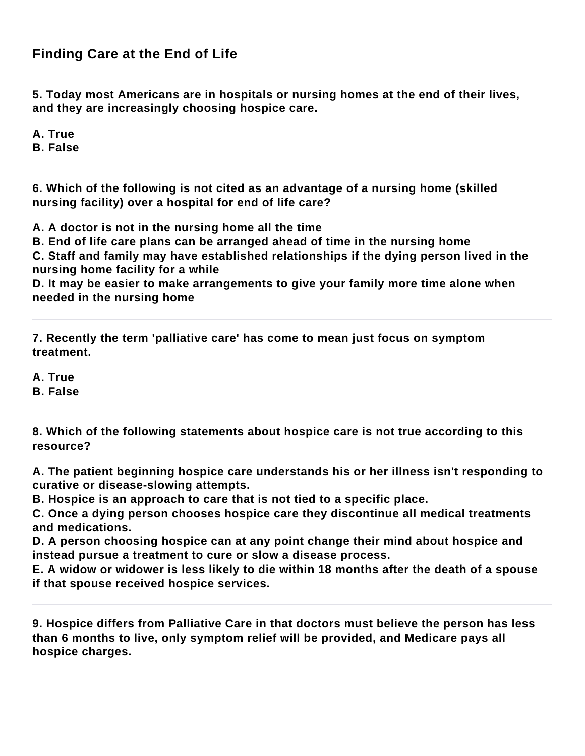#### **Finding Care at the End of Life**

**5. Today most Americans are in hospitals or nursing homes at the end of their lives, and they are increasingly choosing hospice care.**

**A. True**

**B. False**

**6. Which of the following is not cited as an advantage of a nursing home (skilled nursing facility) over a hospital for end of life care?**

**A. A doctor is not in the nursing home all the time**

**B. End of life care plans can be arranged ahead of time in the nursing home**

**C. Staff and family may have established relationships if the dying person lived in the nursing home facility for a while**

**D. It may be easier to make arrangements to give your family more time alone when needed in the nursing home**

**7. Recently the term 'palliative care' has come to mean just focus on symptom treatment.**

**A. True B. False**

**8. Which of the following statements about hospice care is not true according to this resource?**

**A. The patient beginning hospice care understands his or her illness isn't responding to curative or disease-slowing attempts.**

**B. Hospice is an approach to care that is not tied to a specific place.**

**C. Once a dying person chooses hospice care they discontinue all medical treatments and medications.**

**D. A person choosing hospice can at any point change their mind about hospice and instead pursue a treatment to cure or slow a disease process.**

**E. A widow or widower is less likely to die within 18 months after the death of a spouse if that spouse received hospice services.**

**9. Hospice differs from Palliative Care in that doctors must believe the person has less than 6 months to live, only symptom relief will be provided, and Medicare pays all hospice charges.**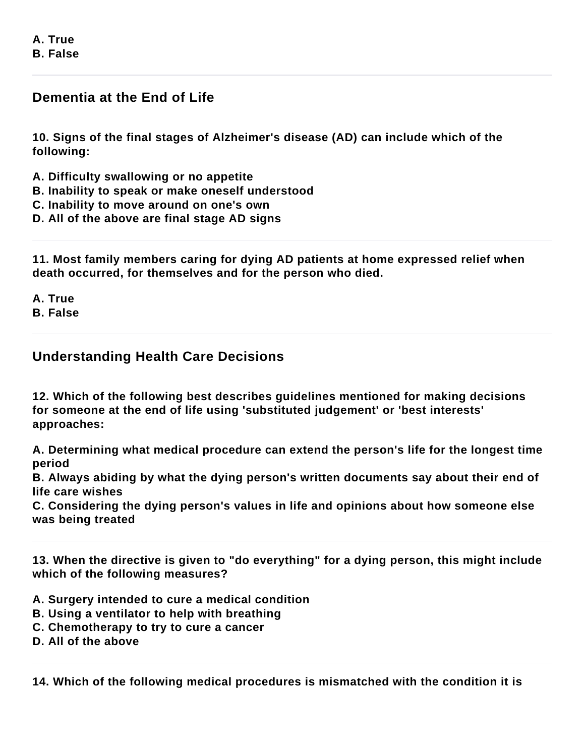**A. True B. False**

#### **Dementia at the End of Life**

**10. Signs of the final stages of Alzheimer's disease (AD) can include which of the following:**

**A. Difficulty swallowing or no appetite**

**B. Inability to speak or make oneself understood**

**C. Inability to move around on one's own**

**D. All of the above are final stage AD signs**

**11. Most family members caring for dying AD patients at home expressed relief when death occurred, for themselves and for the person who died.**

**A. True B. False**

**Understanding Health Care Decisions**

**12. Which of the following best describes guidelines mentioned for making decisions for someone at the end of life using 'substituted judgement' or 'best interests' approaches:**

**A. Determining what medical procedure can extend the person's life for the longest time period**

**B. Always abiding by what the dying person's written documents say about their end of life care wishes**

**C. Considering the dying person's values in life and opinions about how someone else was being treated**

**13. When the directive is given to "do everything" for a dying person, this might include which of the following measures?**

**A. Surgery intended to cure a medical condition**

**B. Using a ventilator to help with breathing**

**C. Chemotherapy to try to cure a cancer**

**D. All of the above**

**14. Which of the following medical procedures is mismatched with the condition it is**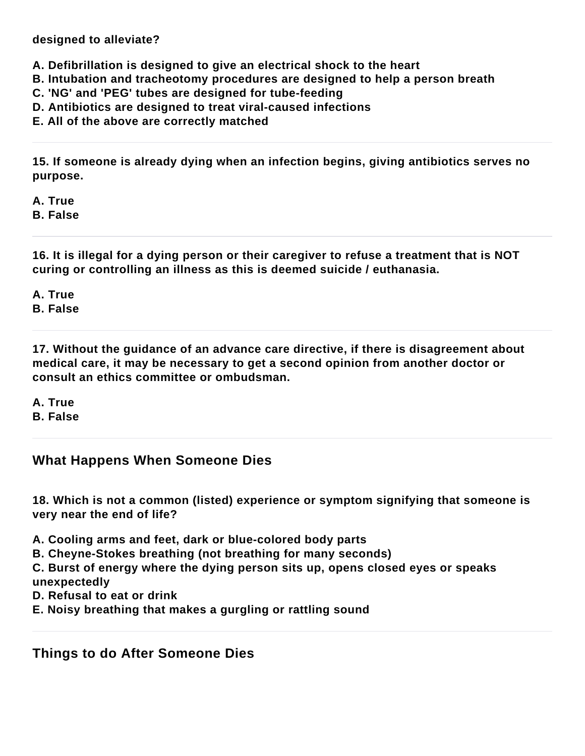**designed to alleviate?**

**A. Defibrillation is designed to give an electrical shock to the heart**

- **B. Intubation and tracheotomy procedures are designed to help a person breath**
- **C. 'NG' and 'PEG' tubes are designed for tube-feeding**
- **D. Antibiotics are designed to treat viral-caused infections**
- **E. All of the above are correctly matched**

**15. If someone is already dying when an infection begins, giving antibiotics serves no purpose.**

**A. True**

**B. False**

**16. It is illegal for a dying person or their caregiver to refuse a treatment that is NOT curing or controlling an illness as this is deemed suicide / euthanasia.**

**A. True B. False**

**17. Without the guidance of an advance care directive, if there is disagreement about medical care, it may be necessary to get a second opinion from another doctor or consult an ethics committee or ombudsman.**

**A. True B. False**

#### **What Happens When Someone Dies**

**18. Which is not a common (listed) experience or symptom signifying that someone is very near the end of life?**

**A. Cooling arms and feet, dark or blue-colored body parts**

**B. Cheyne-Stokes breathing (not breathing for many seconds)**

**C. Burst of energy where the dying person sits up, opens closed eyes or speaks unexpectedly**

- **D. Refusal to eat or drink**
- **E. Noisy breathing that makes a gurgling or rattling sound**

**Things to do After Someone Dies**